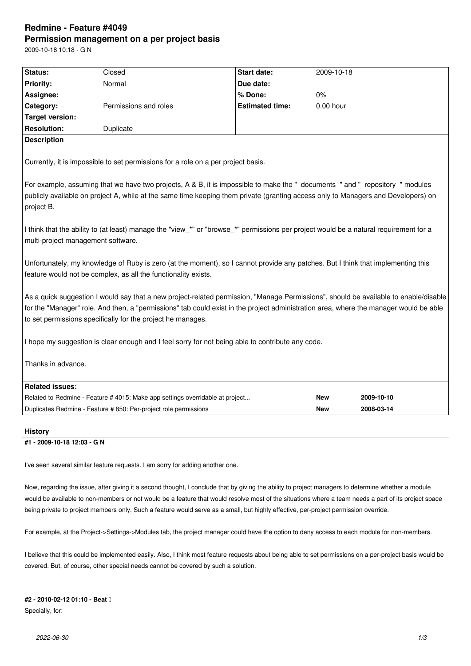# **Redmine - Feature #4049 Permission management on a per project basis**

2009-10-18 10:18 - G N

| Status:                                                                                                                                                                                                                                                                                                                                      | Closed                                                                        | <b>Start date:</b>     | 2009-10-18  |            |
|----------------------------------------------------------------------------------------------------------------------------------------------------------------------------------------------------------------------------------------------------------------------------------------------------------------------------------------------|-------------------------------------------------------------------------------|------------------------|-------------|------------|
| <b>Priority:</b>                                                                                                                                                                                                                                                                                                                             | Normal                                                                        | Due date:              |             |            |
| Assignee:                                                                                                                                                                                                                                                                                                                                    |                                                                               | % Done:                | $0\%$       |            |
| Category:                                                                                                                                                                                                                                                                                                                                    | Permissions and roles                                                         | <b>Estimated time:</b> | $0.00$ hour |            |
| <b>Target version:</b>                                                                                                                                                                                                                                                                                                                       |                                                                               |                        |             |            |
| <b>Resolution:</b>                                                                                                                                                                                                                                                                                                                           | Duplicate                                                                     |                        |             |            |
| <b>Description</b>                                                                                                                                                                                                                                                                                                                           |                                                                               |                        |             |            |
| Currently, it is impossible to set permissions for a role on a per project basis.<br>For example, assuming that we have two projects, A & B, it is impossible to make the "_documents_" and "_repository_" modules                                                                                                                           |                                                                               |                        |             |            |
| publicly available on project A, while at the same time keeping them private (granting access only to Managers and Developers) on<br>project B.                                                                                                                                                                                              |                                                                               |                        |             |            |
| I think that the ability to (at least) manage the "view_*" or "browse_*" permissions per project would be a natural requirement for a<br>multi-project management software.                                                                                                                                                                  |                                                                               |                        |             |            |
| Unfortunately, my knowledge of Ruby is zero (at the moment), so I cannot provide any patches. But I think that implementing this<br>feature would not be complex, as all the functionality exists.                                                                                                                                           |                                                                               |                        |             |            |
| As a quick suggestion I would say that a new project-related permission, "Manage Permissions", should be available to enable/disable<br>for the "Manager" role. And then, a "permissions" tab could exist in the project administration area, where the manager would be able<br>to set permissions specifically for the project he manages. |                                                                               |                        |             |            |
| I hope my suggestion is clear enough and I feel sorry for not being able to contribute any code.                                                                                                                                                                                                                                             |                                                                               |                        |             |            |
| Thanks in advance.                                                                                                                                                                                                                                                                                                                           |                                                                               |                        |             |            |
| <b>Related issues:</b>                                                                                                                                                                                                                                                                                                                       |                                                                               |                        |             |            |
|                                                                                                                                                                                                                                                                                                                                              | Related to Redmine - Feature # 4015: Make app settings overridable at project |                        | <b>New</b>  | 2009-10-10 |
|                                                                                                                                                                                                                                                                                                                                              | Duplicates Redmine - Feature # 850: Per-project role permissions              |                        | <b>New</b>  | 2008-03-14 |
| <b>History</b>                                                                                                                                                                                                                                                                                                                               |                                                                               |                        |             |            |

#### **#1 - 2009-10-18 12:03 - G N**

I've seen several similar feature requests. I am sorry for adding another one.

Now, regarding the issue, after giving it a second thought, I conclude that by giving the ability to project managers to determine whether a module would be available to non-members or not would be a feature that would resolve most of the situations where a team needs a part of its project space being private to project members only. Such a feature would serve as a small, but highly effective, per-project permission override.

For example, at the Project->Settings->Modules tab, the project manager could have the option to deny access to each module for non-members.

I believe that this could be implemented easily. Also, I think most feature requests about being able to set permissions on a per-project basis would be covered. But, of course, other special needs cannot be covered by such a solution.

#### **#2 - 2010-02-12 01:10 - Beat**

Specially, for: